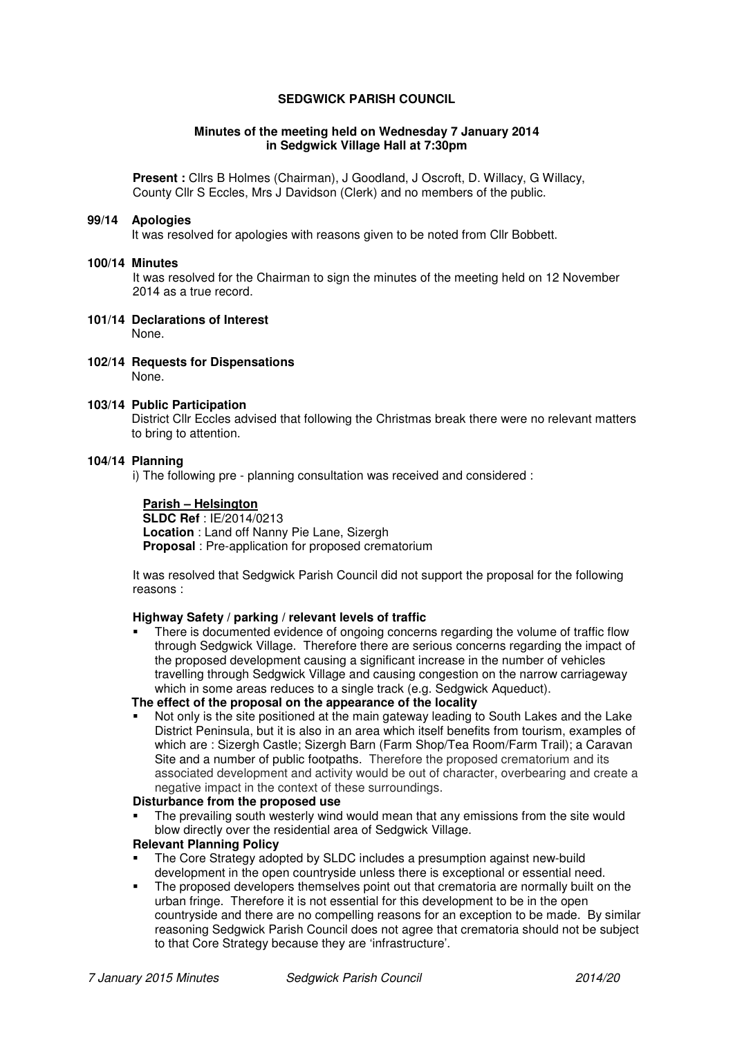# **SEDGWICK PARISH COUNCIL**

#### **Minutes of the meeting held on Wednesday 7 January 2014 in Sedgwick Village Hall at 7:30pm**

**Present :** Cllrs B Holmes (Chairman), J Goodland, J Oscroft, D. Willacy, G Willacy, County Cllr S Eccles, Mrs J Davidson (Clerk) and no members of the public.

#### **99/14 Apologies**

It was resolved for apologies with reasons given to be noted from Cllr Bobbett.

#### **100/14 Minutes**

It was resolved for the Chairman to sign the minutes of the meeting held on 12 November 2014 as a true record.

- **101/14 Declarations of Interest**  None.
- **102/14 Requests for Dispensations**  None.

#### **103/14 Public Participation**

District Cllr Eccles advised that following the Christmas break there were no relevant matters to bring to attention.

#### **104/14 Planning**

i) The following pre - planning consultation was received and considered :

### **Parish – Helsington**

 **SLDC Ref** : IE/2014/0213  **Location** : Land off Nanny Pie Lane, Sizergh  **Proposal** : Pre-application for proposed crematorium

It was resolved that Sedgwick Parish Council did not support the proposal for the following reasons :

### **Highway Safety / parking / relevant levels of traffic**

 There is documented evidence of ongoing concerns regarding the volume of traffic flow through Sedgwick Village. Therefore there are serious concerns regarding the impact of the proposed development causing a significant increase in the number of vehicles travelling through Sedgwick Village and causing congestion on the narrow carriageway which in some areas reduces to a single track (e.g. Sedgwick Aqueduct).

# **The effect of the proposal on the appearance of the locality**

 Not only is the site positioned at the main gateway leading to South Lakes and the Lake District Peninsula, but it is also in an area which itself benefits from tourism, examples of which are : Sizergh Castle; Sizergh Barn (Farm Shop/Tea Room/Farm Trail); a Caravan Site and a number of public footpaths. Therefore the proposed crematorium and its associated development and activity would be out of character, overbearing and create a negative impact in the context of these surroundings.

#### **Disturbance from the proposed use**

 The prevailing south westerly wind would mean that any emissions from the site would blow directly over the residential area of Sedgwick Village.

#### **Relevant Planning Policy**

- The Core Strategy adopted by SLDC includes a presumption against new-build development in the open countryside unless there is exceptional or essential need.
- The proposed developers themselves point out that crematoria are normally built on the urban fringe. Therefore it is not essential for this development to be in the open countryside and there are no compelling reasons for an exception to be made. By similar reasoning Sedgwick Parish Council does not agree that crematoria should not be subject to that Core Strategy because they are 'infrastructure'.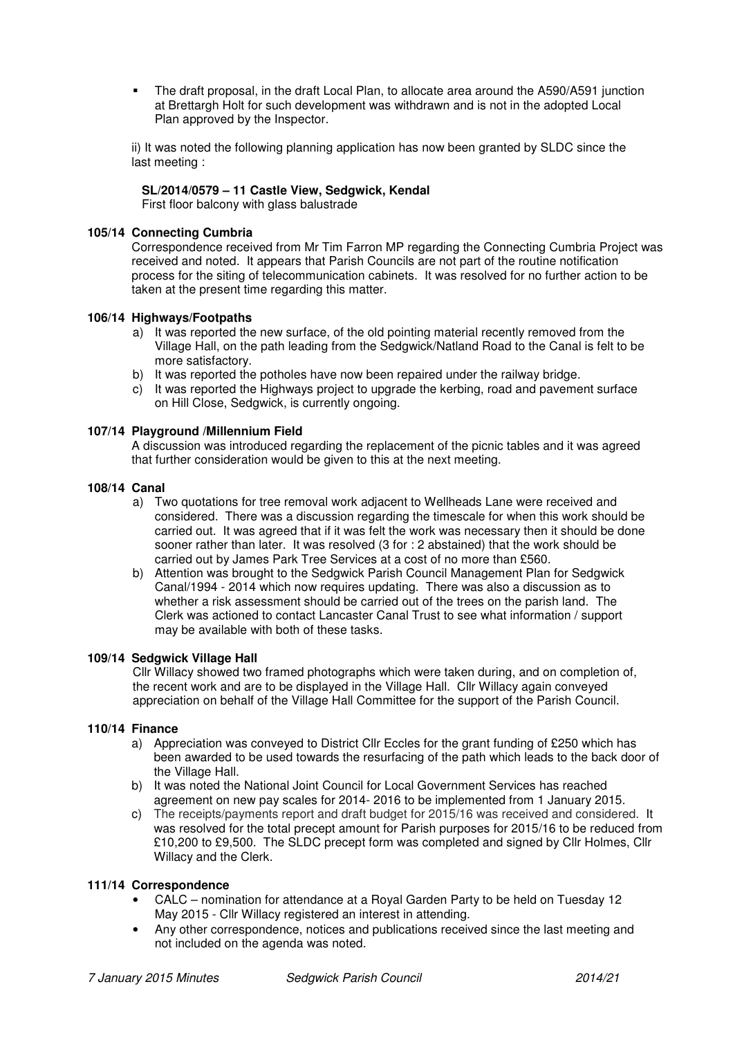The draft proposal, in the draft Local Plan, to allocate area around the A590/A591 junction at Brettargh Holt for such development was withdrawn and is not in the adopted Local Plan approved by the Inspector.

ii) It was noted the following planning application has now been granted by SLDC since the last meeting :

# **SL/2014/0579 – 11 Castle View, Sedgwick, Kendal**

First floor balcony with glass balustrade

### **105/14 Connecting Cumbria**

Correspondence received from Mr Tim Farron MP regarding the Connecting Cumbria Project was received and noted. It appears that Parish Councils are not part of the routine notification process for the siting of telecommunication cabinets. It was resolved for no further action to be taken at the present time regarding this matter.

### **106/14 Highways/Footpaths**

- a) It was reported the new surface, of the old pointing material recently removed from the Village Hall, on the path leading from the Sedgwick/Natland Road to the Canal is felt to be more satisfactory.
- b) It was reported the potholes have now been repaired under the railway bridge.
- c) It was reported the Highways project to upgrade the kerbing, road and pavement surface on Hill Close, Sedgwick, is currently ongoing.

#### **107/14 Playground /Millennium Field**

A discussion was introduced regarding the replacement of the picnic tables and it was agreed that further consideration would be given to this at the next meeting.

# **108/14 Canal**

- a) Two quotations for tree removal work adjacent to Wellheads Lane were received and considered. There was a discussion regarding the timescale for when this work should be carried out. It was agreed that if it was felt the work was necessary then it should be done sooner rather than later. It was resolved (3 for : 2 abstained) that the work should be carried out by James Park Tree Services at a cost of no more than £560.
- b) Attention was brought to the Sedgwick Parish Council Management Plan for Sedgwick Canal/1994 - 2014 which now requires updating. There was also a discussion as to whether a risk assessment should be carried out of the trees on the parish land. The Clerk was actioned to contact Lancaster Canal Trust to see what information / support may be available with both of these tasks.

### **109/14 Sedgwick Village Hall**

Cllr Willacy showed two framed photographs which were taken during, and on completion of, the recent work and are to be displayed in the Village Hall. Cllr Willacy again conveyed appreciation on behalf of the Village Hall Committee for the support of the Parish Council.

# **110/14 Finance**

- a) Appreciation was conveyed to District Cllr Eccles for the grant funding of £250 which has been awarded to be used towards the resurfacing of the path which leads to the back door of the Village Hall.
- b) It was noted the National Joint Council for Local Government Services has reached agreement on new pay scales for 2014- 2016 to be implemented from 1 January 2015.
- c) The receipts/payments report and draft budget for 2015/16 was received and considered. It was resolved for the total precept amount for Parish purposes for 2015/16 to be reduced from £10,200 to £9,500. The SLDC precept form was completed and signed by Cllr Holmes, Cllr Willacy and the Clerk.

### **111/14 Correspondence**

- CALC nomination for attendance at a Royal Garden Party to be held on Tuesday 12 May 2015 - Cllr Willacy registered an interest in attending.
- Any other correspondence, notices and publications received since the last meeting and not included on the agenda was noted.